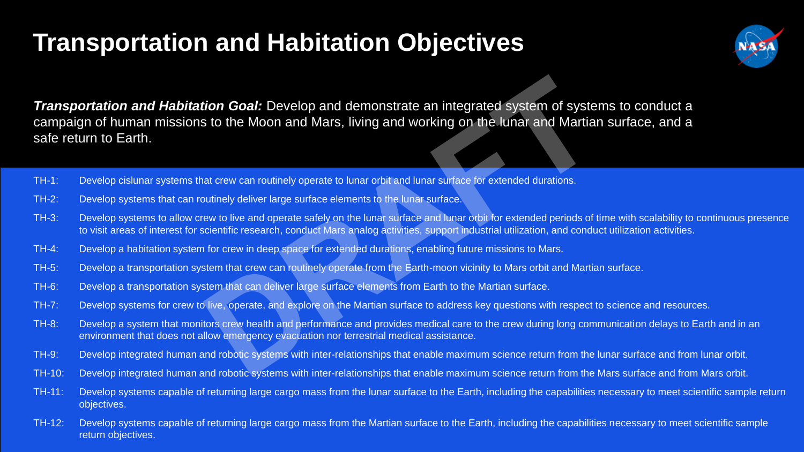### **Transportation and Habitation Objectives**



*Transportation and Habitation Goal:* Develop and demonstrate an integrated system of systems to conduct a campaign of human missions to the Moon and Mars, living and working on the lunar and Martian surface, and a safe return to Earth.

- TH-1: Develop cislunar systems that crew can routinely operate to lunar orbit and lunar surface for extended durations.
- TH-2: Develop systems that can routinely deliver large surface elements to the lunar surface.
- TH-3: Develop systems to allow crew to live and operate safely on the lunar surface and lunar orbit for extended periods of time with scalability to continuous presence to visit areas of interest for scientific research, conduct Mars analog activities, support industrial utilization, and conduct utilization activities.
- TH-4: Develop a habitation system for crew in deep space for extended durations, enabling future missions to Mars.
- TH-5: Develop a transportation system that crew can routinely operate from the Earth-moon vicinity to Mars orbit and Martian surface.
- TH-6: Develop a transportation system that can deliver large surface elements from Earth to the Martian surface.
- TH-7: Develop systems for crew to live, operate, and explore on the Martian surface to address key questions with respect to science and resources.
- TH-8: Develop a system that monitors crew health and performance and provides medical care to the crew during long communication delays to Earth and in an environment that does not allow emergency evacuation nor terrestrial medical assistance.
- TH-9: Develop integrated human and robotic systems with inter-relationships that enable maximum science return from the lunar surface and from lunar orbit.
- TH-10: Develop integrated human and robotic systems with inter-relationships that enable maximum science return from the Mars surface and from Mars orbit.
- TH-11: Develop systems capable of returning large cargo mass from the lunar surface to the Earth, including the capabilities necessary to meet scientific sample return objectives.
- TH-12: Develop systems capable of returning large cargo mass from the Martian surface to the Earth, including the capabilities necessary to meet scientific sample return objectives.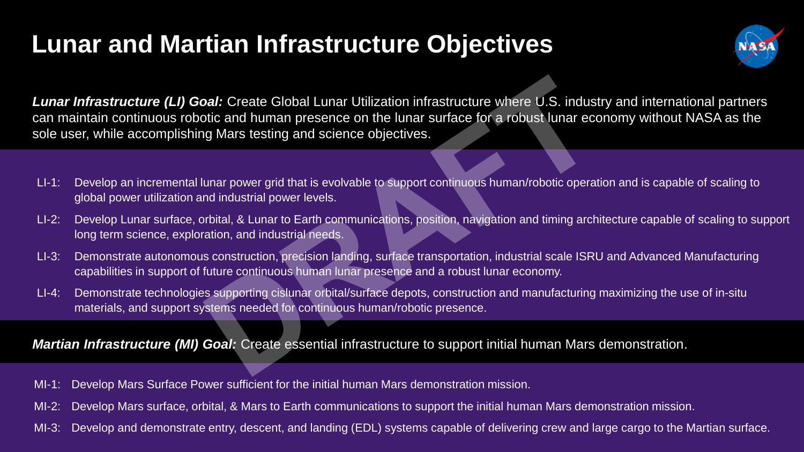## **Lunar and Martian Infrastructure Objectives**



*Lunar Infrastructure (LI) Goal:* Create Global Lunar Utilization infrastructure where U.S. industry and international partners can maintain continuous robotic and human presence on the lunar surface for a robust lunar economy without NASA as the sole user, while accomplishing Mars testing and science objectives.

- LI-1: Develop an incremental lunar power grid that is evolvable to support continuous human/robotic operation and is capable of scaling to global power utilization and industrial power levels.
- LI-2: Develop Lunar surface, orbital, & Lunar to Earth communications, position, navigation and timing architecture capable of scaling to support long term science, exploration, and industrial needs.
- LI-3: Demonstrate autonomous construction, precision landing, surface transportation, industrial scale ISRU and Advanced Manufacturing capabilities in support of future continuous human lunar presence and a robust lunar economy.
- LI-4: Demonstrate technologies supporting cislunar orbital/surface depots, construction and manufacturing maximizing the use of in-situ materials, and support systems needed for continuous human/robotic presence.

#### *Martian Infrastructure (MI) Goal:* Create essential infrastructure to support initial human Mars demonstration.

- MI-1: Develop Mars Surface Power sufficient for the initial human Mars demonstration mission.
- MI-2: Develop Mars surface, orbital, & Mars to Earth communications to support the initial human Mars demonstration mission.
- MI-3: Develop and demonstrate entry, descent, and landing (EDL) systems capable of delivering crew and large cargo to the Martian surface.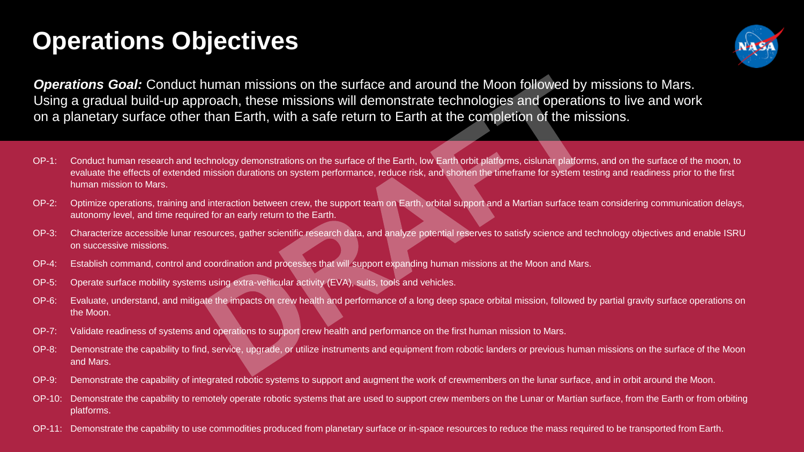### **Operations Objectives**



*Operations Goal:* Conduct human missions on the surface and around the Moon followed by missions to Mars. Using a gradual build-up approach, these missions will demonstrate technologies and operations to live and work on a planetary surface other than Earth, with a safe return to Earth at the completion of the missions.

- OP-1: Conduct human research and technology demonstrations on the surface of the Earth, low Earth orbit platforms, cislunar platforms, and on the surface of the moon, to evaluate the effects of extended mission durations on system performance, reduce risk, and shorten the timeframe for system testing and readiness prior to the first human mission to Mars.
- OP-2: Optimize operations, training and interaction between crew, the support team on Earth, orbital support and a Martian surface team considering communication delays, autonomy level, and time required for an early return to the Earth.
- OP-3: Characterize accessible lunar resources, gather scientific research data, and analyze potential reserves to satisfy science and technology objectives and enable ISRU on successive missions.
- OP-4: Establish command, control and coordination and processes that will support expanding human missions at the Moon and Mars.
- OP-5: Operate surface mobility systems using extra-vehicular activity (EVA), suits, tools and vehicles.
- OP-6: Evaluate, understand, and mitigate the impacts on crew health and performance of a long deep space orbital mission, followed by partial gravity surface operations on the Moon.
- OP-7: Validate readiness of systems and operations to support crew health and performance on the first human mission to Mars.
- OP-8: Demonstrate the capability to find, service, upgrade, or utilize instruments and equipment from robotic landers or previous human missions on the surface of the Moon and Mars.
- OP-9: Demonstrate the capability of integrated robotic systems to support and augment the work of crewmembers on the lunar surface, and in orbit around the Moon.
- OP-10: Demonstrate the capability to remotely operate robotic systems that are used to support crew members on the Lunar or Martian surface, from the Earth or from orbiting platforms.
- OP-11: Demonstrate the capability to use commodities produced from planetary surface or in-space resources to reduce the mass required to be transported from Earth.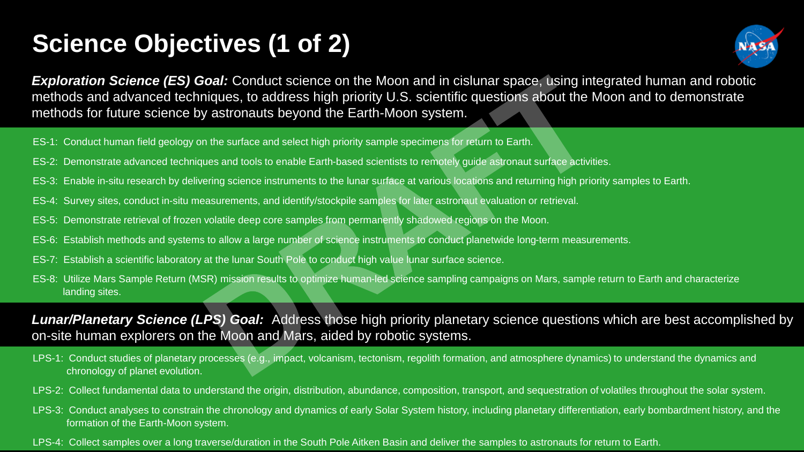# **Science Objectives (1 of 2)**



*Exploration Science (ES) Goal:* Conduct science on the Moon and in cislunar space, using integrated human and robotic methods and advanced techniques, to address high priority U.S. scientific questions about the Moon and to demonstrate methods for future science by astronauts beyond the Earth-Moon system.

- ES-1: Conduct human field geology on the surface and select high priority sample specimens for return to Earth.
- ES-2: Demonstrate advanced techniques and tools to enable Earth-based scientists to remotely guide astronaut surface activities.
- ES-3: Enable in-situ research by delivering science instruments to the lunar surface at various locations and returning high priority samples to Earth.
- ES-4: Survey sites, conduct in-situ measurements, and identify/stockpile samples for later astronaut evaluation or retrieval.
- ES-5: Demonstrate retrieval of frozen volatile deep core samples from permanently shadowed regions on the Moon.
- ES-6: Establish methods and systems to allow a large number of science instruments to conduct planetwide long-term measurements.
- ES-7: Establish a scientific laboratory at the lunar South Pole to conduct high value lunar surface science.
- ES-8: Utilize Mars Sample Return (MSR) mission results to optimize human-led science sampling campaigns on Mars, sample return to Earth and characterize landing sites.

*Lunar/Planetary Science (LPS) Goal:* Address those high priority planetary science questions which are best accomplished by on-site human explorers on the Moon and Mars, aided by robotic systems.

- LPS-1: Conduct studies of planetary processes (e.g., impact, volcanism, tectonism, regolith formation, and atmosphere dynamics) to understand the dynamics and chronology of planet evolution.
- LPS-2: Collect fundamental data to understand the origin, distribution, abundance, composition, transport, and sequestration of volatiles throughout the solar system.
- LPS-3: Conduct analyses to constrain the chronology and dynamics of early Solar System history, including planetary differentiation, early bombardment history, and the formation of the Earth-Moon system.
- LPS-4: Collect samples over a long traverse/duration in the South Pole Aitken Basin and deliver the samples to astronauts for return to Earth.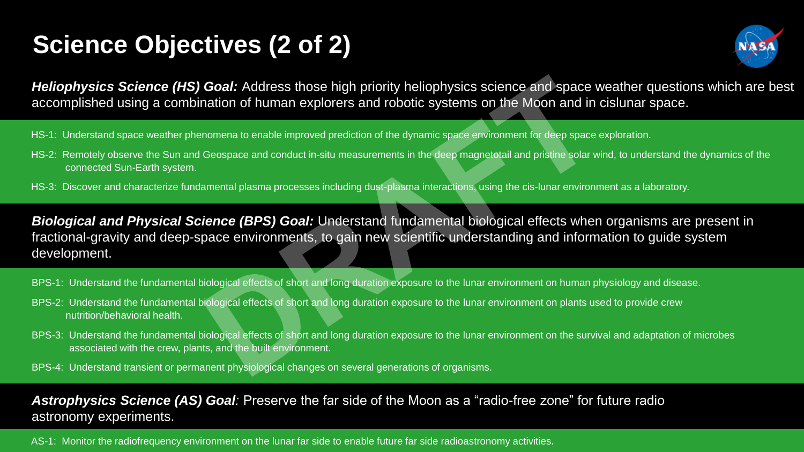# **Science Objectives (2 of 2)**



*Heliophysics Science (HS) Goal:* Address those high priority heliophysics science and space weather questions which are best accomplished using a combination of human explorers and robotic systems on the Moon and in cislunar space.

- HS-1: Understand space weather phenomena to enable improved prediction of the dynamic space environment for deep space exploration.
- HS-2: Remotely observe the Sun and Geospace and conduct in-situ measurements in the deep magnetotail and pristine solar wind, to understand the dynamics of the connected Sun-Earth system.
- HS-3: Discover and characterize fundamental plasma processes including dust-plasma interactions, using the cis-lunar environment as a laboratory.

*Biological and Physical Science (BPS) Goal:* Understand fundamental biological effects when organisms are present in fractional-gravity and deep-space environments, to gain new scientific understanding and information to guide system development.

- BPS-1: Understand the fundamental biological effects of short and long duration exposure to the lunar environment on human physiology and disease.
- BPS-2: Understand the fundamental biological effects of short and long duration exposure to the lunar environment on plants used to provide crew nutrition/behavioral health.
- BPS-3: Understand the fundamental biological effects of short and long duration exposure to the lunar environment on the survival and adaptation of microbes associated with the crew, plants, and the built environment.
- BPS-4: Understand transient or permanent physiological changes on several generations of organisms.

#### Astrophysics Science (AS) Goal: Preserve the far side of the Moon as a "radio-free zone" for future radio astronomy experiments.

AS-1: Monitor the radiofrequency environment on the lunar far side to enable future far side radioastronomy activities.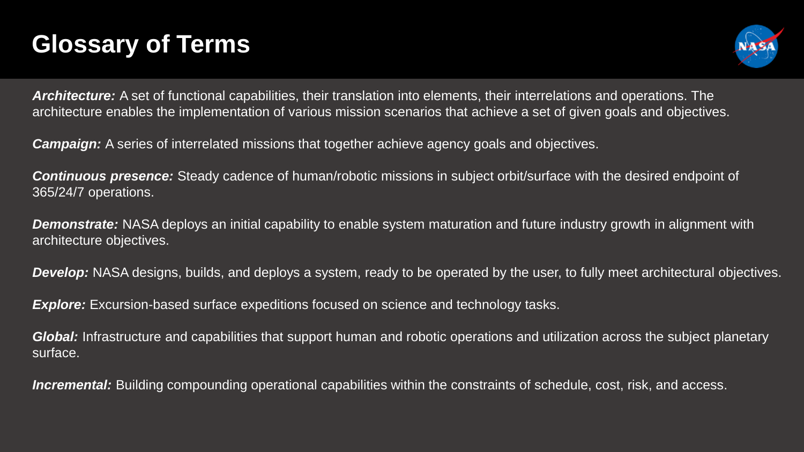# **Glossary of Terms**



*Architecture:* A set of functional capabilities, their translation into elements, their interrelations and operations. The architecture enables the implementation of various mission scenarios that achieve a set of given goals and objectives.

*Campaign:* A series of interrelated missions that together achieve agency goals and objectives.

*Continuous presence:* Steady cadence of human/robotic missions in subject orbit/surface with the desired endpoint of 365/24/7 operations.

*Demonstrate:* NASA deploys an initial capability to enable system maturation and future industry growth in alignment with architecture objectives.

**Develop:** NASA designs, builds, and deploys a system, ready to be operated by the user, to fully meet architectural objectives.

**Explore:** Excursion-based surface expeditions focused on science and technology tasks.

*Global:* Infrastructure and capabilities that support human and robotic operations and utilization across the subject planetary surface.

*Incremental:* Building compounding operational capabilities within the constraints of schedule, cost, risk, and access.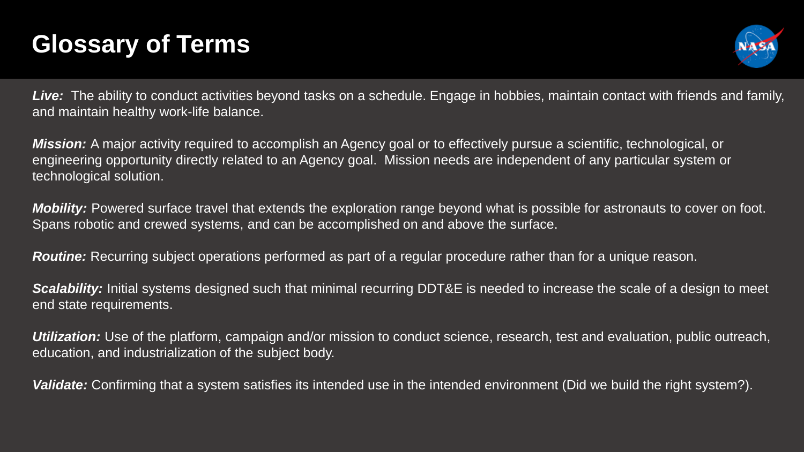# **Glossary of Terms**



Live: The ability to conduct activities beyond tasks on a schedule. Engage in hobbies, maintain contact with friends and family, and maintain healthy work-life balance.

*Mission:* A major activity required to accomplish an Agency goal or to effectively pursue a scientific, technological, or engineering opportunity directly related to an Agency goal. Mission needs are independent of any particular system or technological solution.

*Mobility:* Powered surface travel that extends the exploration range beyond what is possible for astronauts to cover on foot. Spans robotic and crewed systems, and can be accomplished on and above the surface.

*Routine:* Recurring subject operations performed as part of a regular procedure rather than for a unique reason.

*Scalability:* Initial systems designed such that minimal recurring DDT&E is needed to increase the scale of a design to meet end state requirements.

*Utilization:* Use of the platform, campaign and/or mission to conduct science, research, test and evaluation, public outreach, education, and industrialization of the subject body.

*Validate:* Confirming that a system satisfies its intended use in the intended environment (Did we build the right system?).